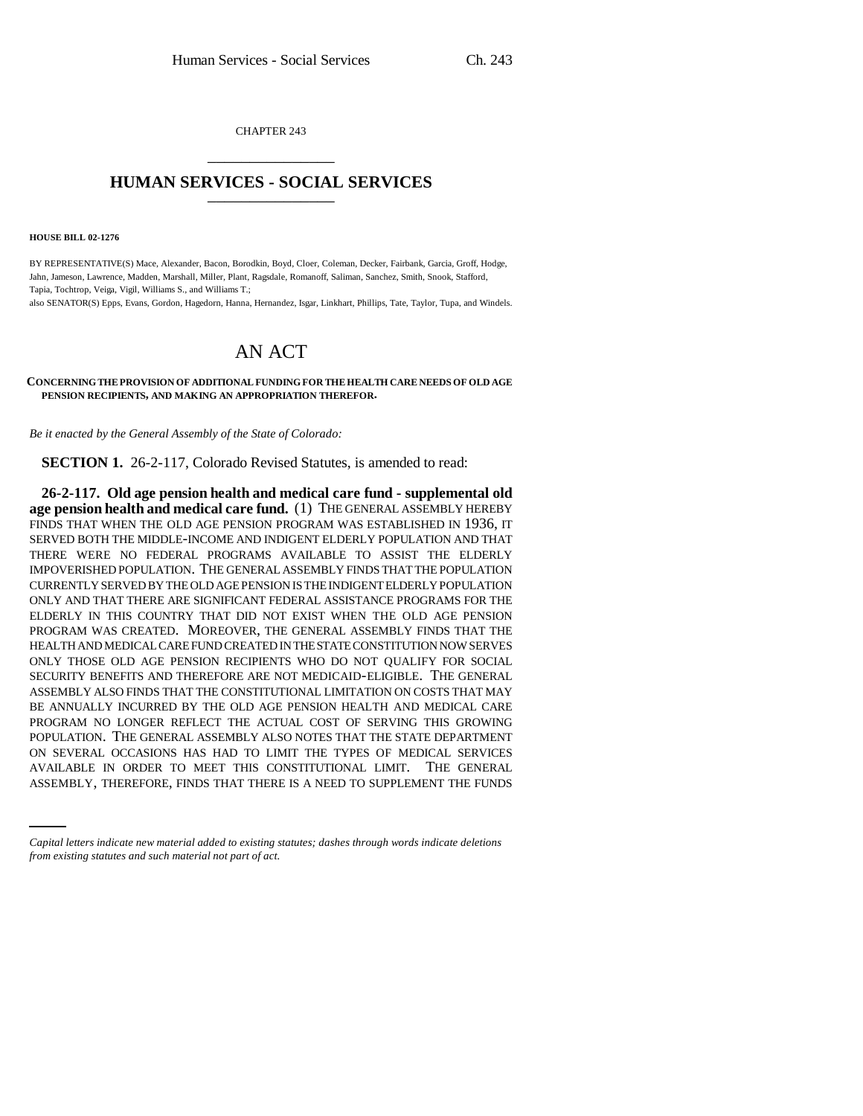CHAPTER 243 \_\_\_\_\_\_\_\_\_\_\_\_\_\_\_

## **HUMAN SERVICES - SOCIAL SERVICES** \_\_\_\_\_\_\_\_\_\_\_\_\_\_\_

**HOUSE BILL 02-1276**

BY REPRESENTATIVE(S) Mace, Alexander, Bacon, Borodkin, Boyd, Cloer, Coleman, Decker, Fairbank, Garcia, Groff, Hodge, Jahn, Jameson, Lawrence, Madden, Marshall, Miller, Plant, Ragsdale, Romanoff, Saliman, Sanchez, Smith, Snook, Stafford, Tapia, Tochtrop, Veiga, Vigil, Williams S., and Williams T.;

also SENATOR(S) Epps, Evans, Gordon, Hagedorn, Hanna, Hernandez, Isgar, Linkhart, Phillips, Tate, Taylor, Tupa, and Windels.

## AN ACT

## **CONCERNING THE PROVISION OF ADDITIONAL FUNDING FOR THE HEALTH CARE NEEDS OF OLD AGE PENSION RECIPIENTS, AND MAKING AN APPROPRIATION THEREFOR.**

*Be it enacted by the General Assembly of the State of Colorado:*

**SECTION 1.** 26-2-117, Colorado Revised Statutes, is amended to read:

ON SEVERAL OCCASIONS HAS HAD TO LIMIT THE TYPES OF MEDICAL SERVICES **26-2-117. Old age pension health and medical care fund - supplemental old age pension health and medical care fund.** (1) THE GENERAL ASSEMBLY HEREBY FINDS THAT WHEN THE OLD AGE PENSION PROGRAM WAS ESTABLISHED IN 1936, IT SERVED BOTH THE MIDDLE-INCOME AND INDIGENT ELDERLY POPULATION AND THAT THERE WERE NO FEDERAL PROGRAMS AVAILABLE TO ASSIST THE ELDERLY IMPOVERISHED POPULATION. THE GENERAL ASSEMBLY FINDS THAT THE POPULATION CURRENTLY SERVED BY THE OLD AGE PENSION IS THE INDIGENT ELDERLY POPULATION ONLY AND THAT THERE ARE SIGNIFICANT FEDERAL ASSISTANCE PROGRAMS FOR THE ELDERLY IN THIS COUNTRY THAT DID NOT EXIST WHEN THE OLD AGE PENSION PROGRAM WAS CREATED. MOREOVER, THE GENERAL ASSEMBLY FINDS THAT THE HEALTH AND MEDICAL CARE FUND CREATED IN THE STATE CONSTITUTION NOW SERVES ONLY THOSE OLD AGE PENSION RECIPIENTS WHO DO NOT QUALIFY FOR SOCIAL SECURITY BENEFITS AND THEREFORE ARE NOT MEDICAID-ELIGIBLE. THE GENERAL ASSEMBLY ALSO FINDS THAT THE CONSTITUTIONAL LIMITATION ON COSTS THAT MAY BE ANNUALLY INCURRED BY THE OLD AGE PENSION HEALTH AND MEDICAL CARE PROGRAM NO LONGER REFLECT THE ACTUAL COST OF SERVING THIS GROWING POPULATION. THE GENERAL ASSEMBLY ALSO NOTES THAT THE STATE DEPARTMENT AVAILABLE IN ORDER TO MEET THIS CONSTITUTIONAL LIMIT. THE GENERAL ASSEMBLY, THEREFORE, FINDS THAT THERE IS A NEED TO SUPPLEMENT THE FUNDS

*Capital letters indicate new material added to existing statutes; dashes through words indicate deletions from existing statutes and such material not part of act.*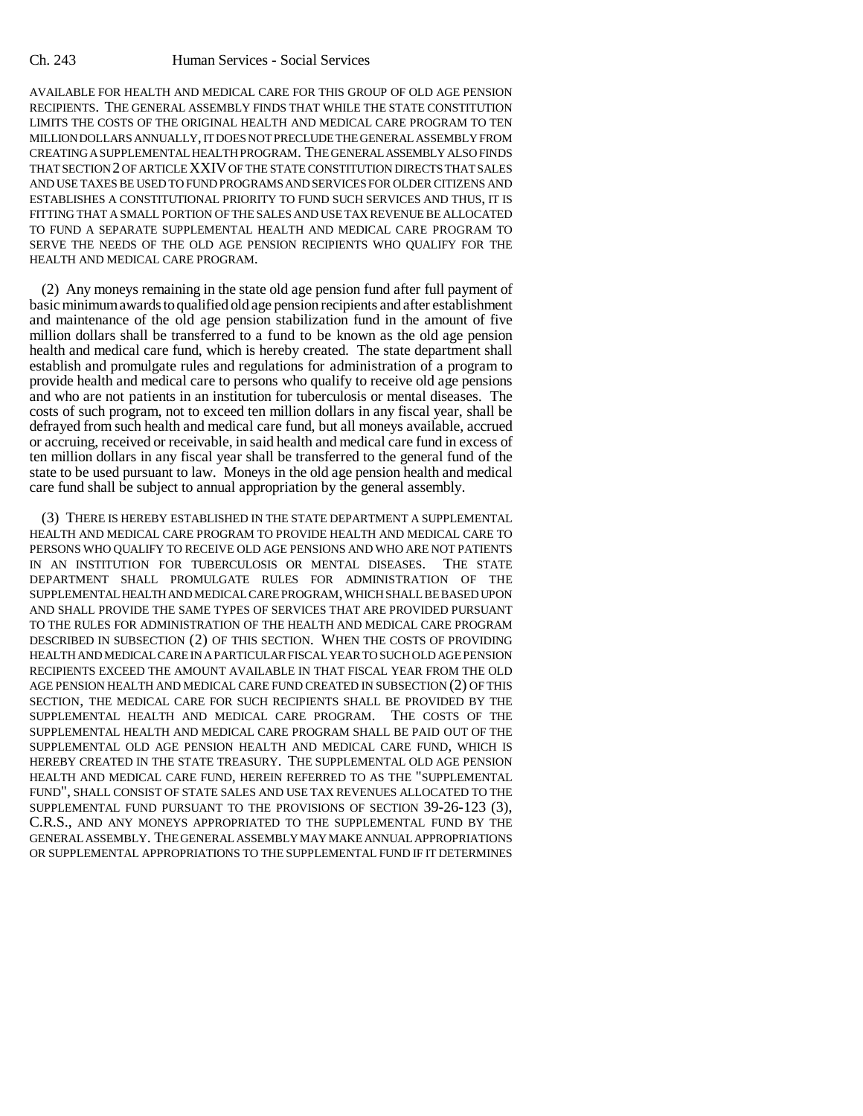AVAILABLE FOR HEALTH AND MEDICAL CARE FOR THIS GROUP OF OLD AGE PENSION RECIPIENTS. THE GENERAL ASSEMBLY FINDS THAT WHILE THE STATE CONSTITUTION LIMITS THE COSTS OF THE ORIGINAL HEALTH AND MEDICAL CARE PROGRAM TO TEN MILLION DOLLARS ANNUALLY, IT DOES NOT PRECLUDE THE GENERAL ASSEMBLY FROM CREATING A SUPPLEMENTAL HEALTH PROGRAM. THE GENERAL ASSEMBLY ALSO FINDS THAT SECTION 2 OF ARTICLE XXIV OF THE STATE CONSTITUTION DIRECTS THAT SALES AND USE TAXES BE USED TO FUND PROGRAMS AND SERVICES FOR OLDER CITIZENS AND ESTABLISHES A CONSTITUTIONAL PRIORITY TO FUND SUCH SERVICES AND THUS, IT IS FITTING THAT A SMALL PORTION OF THE SALES AND USE TAX REVENUE BE ALLOCATED TO FUND A SEPARATE SUPPLEMENTAL HEALTH AND MEDICAL CARE PROGRAM TO SERVE THE NEEDS OF THE OLD AGE PENSION RECIPIENTS WHO QUALIFY FOR THE HEALTH AND MEDICAL CARE PROGRAM.

(2) Any moneys remaining in the state old age pension fund after full payment of basic minimum awards to qualified old age pension recipients and after establishment and maintenance of the old age pension stabilization fund in the amount of five million dollars shall be transferred to a fund to be known as the old age pension health and medical care fund, which is hereby created. The state department shall establish and promulgate rules and regulations for administration of a program to provide health and medical care to persons who qualify to receive old age pensions and who are not patients in an institution for tuberculosis or mental diseases. The costs of such program, not to exceed ten million dollars in any fiscal year, shall be defrayed from such health and medical care fund, but all moneys available, accrued or accruing, received or receivable, in said health and medical care fund in excess of ten million dollars in any fiscal year shall be transferred to the general fund of the state to be used pursuant to law. Moneys in the old age pension health and medical care fund shall be subject to annual appropriation by the general assembly.

(3) THERE IS HEREBY ESTABLISHED IN THE STATE DEPARTMENT A SUPPLEMENTAL HEALTH AND MEDICAL CARE PROGRAM TO PROVIDE HEALTH AND MEDICAL CARE TO PERSONS WHO QUALIFY TO RECEIVE OLD AGE PENSIONS AND WHO ARE NOT PATIENTS IN AN INSTITUTION FOR TUBERCULOSIS OR MENTAL DISEASES. THE STATE DEPARTMENT SHALL PROMULGATE RULES FOR ADMINISTRATION OF THE SUPPLEMENTAL HEALTH AND MEDICAL CARE PROGRAM, WHICH SHALL BE BASED UPON AND SHALL PROVIDE THE SAME TYPES OF SERVICES THAT ARE PROVIDED PURSUANT TO THE RULES FOR ADMINISTRATION OF THE HEALTH AND MEDICAL CARE PROGRAM DESCRIBED IN SUBSECTION (2) OF THIS SECTION. WHEN THE COSTS OF PROVIDING HEALTH AND MEDICAL CARE IN A PARTICULAR FISCAL YEAR TO SUCH OLD AGE PENSION RECIPIENTS EXCEED THE AMOUNT AVAILABLE IN THAT FISCAL YEAR FROM THE OLD AGE PENSION HEALTH AND MEDICAL CARE FUND CREATED IN SUBSECTION (2) OF THIS SECTION, THE MEDICAL CARE FOR SUCH RECIPIENTS SHALL BE PROVIDED BY THE SUPPLEMENTAL HEALTH AND MEDICAL CARE PROGRAM. THE COSTS OF THE SUPPLEMENTAL HEALTH AND MEDICAL CARE PROGRAM SHALL BE PAID OUT OF THE SUPPLEMENTAL OLD AGE PENSION HEALTH AND MEDICAL CARE FUND, WHICH IS HEREBY CREATED IN THE STATE TREASURY. THE SUPPLEMENTAL OLD AGE PENSION HEALTH AND MEDICAL CARE FUND, HEREIN REFERRED TO AS THE "SUPPLEMENTAL FUND", SHALL CONSIST OF STATE SALES AND USE TAX REVENUES ALLOCATED TO THE SUPPLEMENTAL FUND PURSUANT TO THE PROVISIONS OF SECTION 39-26-123 (3), C.R.S., AND ANY MONEYS APPROPRIATED TO THE SUPPLEMENTAL FUND BY THE GENERAL ASSEMBLY. THE GENERAL ASSEMBLY MAY MAKE ANNUAL APPROPRIATIONS OR SUPPLEMENTAL APPROPRIATIONS TO THE SUPPLEMENTAL FUND IF IT DETERMINES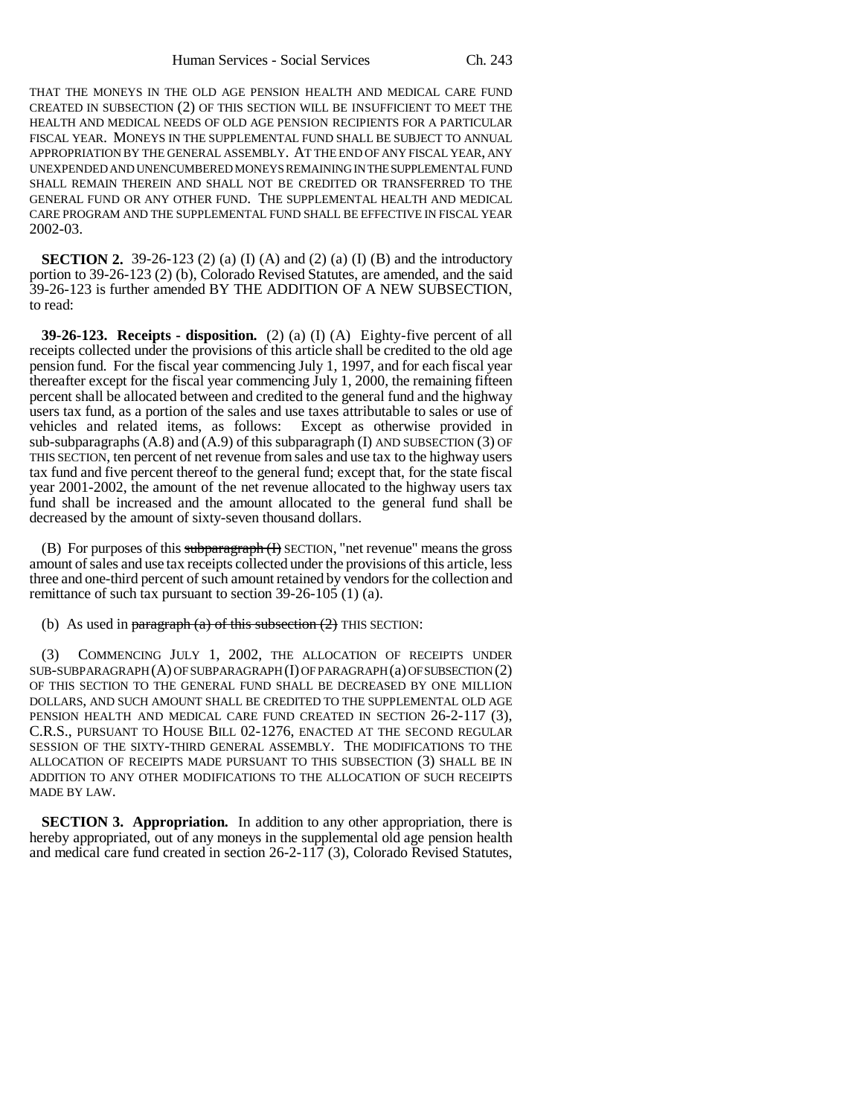THAT THE MONEYS IN THE OLD AGE PENSION HEALTH AND MEDICAL CARE FUND CREATED IN SUBSECTION (2) OF THIS SECTION WILL BE INSUFFICIENT TO MEET THE HEALTH AND MEDICAL NEEDS OF OLD AGE PENSION RECIPIENTS FOR A PARTICULAR FISCAL YEAR. MONEYS IN THE SUPPLEMENTAL FUND SHALL BE SUBJECT TO ANNUAL APPROPRIATION BY THE GENERAL ASSEMBLY. AT THE END OF ANY FISCAL YEAR, ANY UNEXPENDED AND UNENCUMBERED MONEYS REMAINING IN THE SUPPLEMENTAL FUND SHALL REMAIN THEREIN AND SHALL NOT BE CREDITED OR TRANSFERRED TO THE GENERAL FUND OR ANY OTHER FUND. THE SUPPLEMENTAL HEALTH AND MEDICAL CARE PROGRAM AND THE SUPPLEMENTAL FUND SHALL BE EFFECTIVE IN FISCAL YEAR 2002-03.

**SECTION 2.** 39-26-123 (2) (a) (I) (A) and (2) (a) (I) (B) and the introductory portion to 39-26-123 (2) (b), Colorado Revised Statutes, are amended, and the said 39-26-123 is further amended BY THE ADDITION OF A NEW SUBSECTION, to read:

**39-26-123. Receipts - disposition.** (2) (a) (I) (A) Eighty-five percent of all receipts collected under the provisions of this article shall be credited to the old age pension fund. For the fiscal year commencing July 1, 1997, and for each fiscal year thereafter except for the fiscal year commencing July 1, 2000, the remaining fifteen percent shall be allocated between and credited to the general fund and the highway users tax fund, as a portion of the sales and use taxes attributable to sales or use of vehicles and related items, as follows: Except as otherwise provided in vehicles and related items, as follows: sub-subparagraphs  $(A.8)$  and  $(A.9)$  of this subparagraph (I) AND SUBSECTION  $(3)$  OF THIS SECTION, ten percent of net revenue from sales and use tax to the highway users tax fund and five percent thereof to the general fund; except that, for the state fiscal year 2001-2002, the amount of the net revenue allocated to the highway users tax fund shall be increased and the amount allocated to the general fund shall be decreased by the amount of sixty-seven thousand dollars.

(B) For purposes of this subparagraph (I) SECTION, "net revenue" means the gross amount of sales and use tax receipts collected under the provisions of this article, less three and one-third percent of such amount retained by vendors for the collection and remittance of such tax pursuant to section 39-26-105 (1) (a).

(b) As used in paragraph (a) of this subsection  $(2)$  THIS SECTION:

(3) COMMENCING JULY 1, 2002, THE ALLOCATION OF RECEIPTS UNDER SUB-SUBPARAGRAPH (A) OF SUBPARAGRAPH (I) OF PARAGRAPH (a) OF SUBSECTION (2) OF THIS SECTION TO THE GENERAL FUND SHALL BE DECREASED BY ONE MILLION DOLLARS, AND SUCH AMOUNT SHALL BE CREDITED TO THE SUPPLEMENTAL OLD AGE PENSION HEALTH AND MEDICAL CARE FUND CREATED IN SECTION 26-2-117 (3), C.R.S., PURSUANT TO HOUSE BILL 02-1276, ENACTED AT THE SECOND REGULAR SESSION OF THE SIXTY-THIRD GENERAL ASSEMBLY. THE MODIFICATIONS TO THE ALLOCATION OF RECEIPTS MADE PURSUANT TO THIS SUBSECTION (3) SHALL BE IN ADDITION TO ANY OTHER MODIFICATIONS TO THE ALLOCATION OF SUCH RECEIPTS MADE BY LAW.

**SECTION 3. Appropriation.** In addition to any other appropriation, there is hereby appropriated, out of any moneys in the supplemental old age pension health and medical care fund created in section 26-2-117 (3), Colorado Revised Statutes,